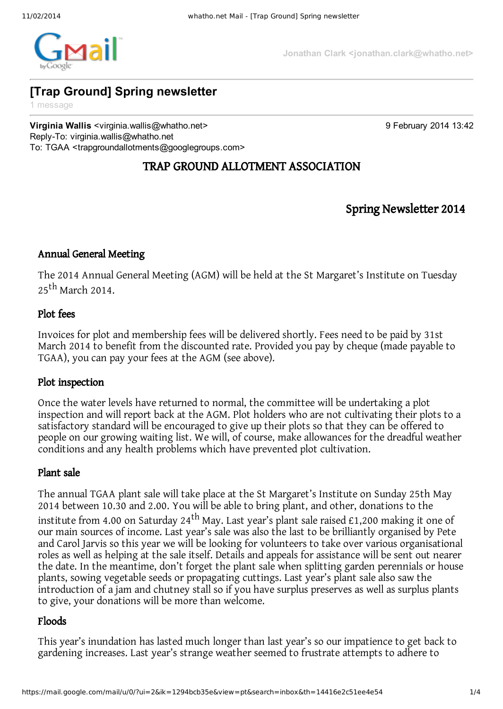

**Jonathan Clark <jonathan.clark@whatho.net>**

# **[Trap Ground] Spring newsletter**

1 message

**Virginia Wallis** <virginia.wallis@whatho.net> 9 February 2014 13:42 Reply-To: virginia.wallis@whatho.net To: TGAA <trapgroundallotments@googlegroups.com>

# TRAP GROUND ALLOTMENT ASSOCIATION

Spring Newsletter 2014

# Annual General Meeting

The 2014 Annual General Meeting (AGM) will be held at the St Margaret's Institute on Tuesday 25<sup>th</sup> March 2014.

# Plot fees

Invoices for plot and membership fees will be delivered shortly. Fees need to be paid by 31st March 2014 to benefit from the discounted rate. Provided you pay by cheque (made payable to TGAA), you can pay your fees at the AGM (see above).

# Plot inspection

Once the water levels have returned to normal, the committee will be undertaking a plot inspection and will report back at the AGM. Plot holders who are not cultivating their plots to a satisfactory standard will be encouraged to give up their plots so that they can be offered to people on our growing waiting list. We will, of course, make allowances for the dreadful weather conditions and any health problems which have prevented plot cultivation.

# Plant sale

The annual TGAA plant sale will take place at the St Margaret's Institute on Sunday 25th May 2014 between 10.30 and 2.00. You will be able to bring plant, and other, donations to the institute from 4.00 on Saturday 24<sup>th</sup> May. Last year's plant sale raised £1,200 making it one of our main sources of income. Last year's sale was also the last to be brilliantly organised by Pete and Carol Jarvis so this year we will be looking for volunteers to take over various organisational roles as well as helping at the sale itself. Details and appeals for assistance will be sent out nearer the date. In the meantime, don't forget the plant sale when splitting garden perennials or house plants, sowing vegetable seeds or propagating cuttings. Last year's plant sale also saw the introduction of a jam and chutney stall so if you have surplus preserves as well as surplus plants to give, your donations will be more than welcome.

# Floods

This year's inundation has lasted much longer than last year's so our impatience to get back to gardening increases. Last year's strange weather seemed to frustrate attempts to adhere to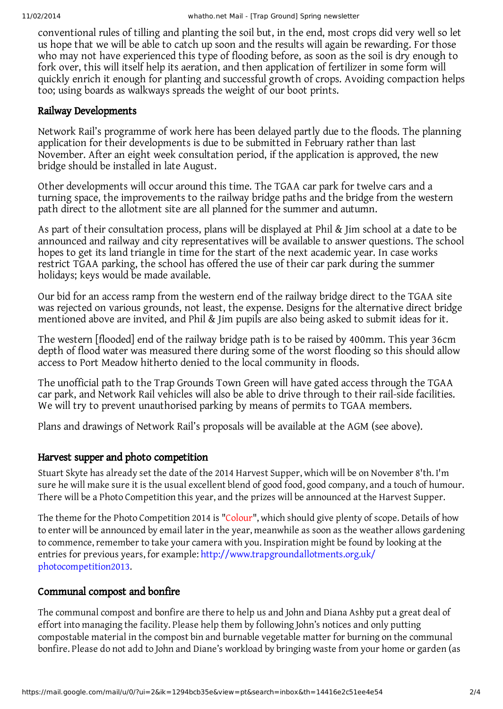conventional rules of tilling and planting the soil but, in the end, most crops did very well so let us hope that we will be able to catch up soon and the results will again be rewarding. For those who may not have experienced this type of flooding before, as soon as the soil is dry enough to fork over, this will itself help its aeration, and then application of fertilizer in some form will quickly enrich it enough for planting and successful growth of crops. Avoiding compaction helps too; using boards as walkways spreads the weight of our boot prints.

#### Railway Developments

Network Rail's programme of work here has been delayed partly due to the floods. The planning application for their developments is due to be submitted in February rather than last November. After an eight week consultation period, if the application is approved, the new bridge should be installed in late August.

Other developments will occur around this time. The TGAA car park for twelve cars and a turning space, the improvements to the railway bridge paths and the bridge from the western path direct to the allotment site are all planned for the summer and autumn.

As part of their consultation process, plans will be displayed at Phil & Jim school at a date to be announced and railway and city representatives will be available to answer questions. The school hopes to get its land triangle in time for the start of the next academic year. In case works restrict TGAA parking, the school has offered the use of their car park during the summer holidays; keys would be made available.

Our bid for an access ramp from the western end of the railway bridge direct to the TGAA site was rejected on various grounds, not least, the expense. Designs for the alternative direct bridge mentioned above are invited, and Phil & Jim pupils are also being asked to submit ideas for it.

The western [flooded] end of the railway bridge path is to be raised by 400mm. This year 36cm depth of flood water was measured there during some of the worst flooding so this should allow access to Port Meadow hitherto denied to the local community in floods.

The unofficial path to the Trap Grounds Town Green will have gated access through the TGAA car park, and Network Rail vehicles will also be able to drive through to their rail-side facilities. We will try to prevent unauthorised parking by means of permits to TGAA members.

Plans and drawings of Network Rail's proposals will be available at the AGM (see above).

# Harvest supper and photo competition

Stuart Skyte has already set the date of the 2014 Harvest Supper, which will be on November 8'th. I'm sure he will make sure it is the usual excellent blend of good food, good company, and a touch of humour. There will be a Photo Competition this year, and the prizes will be announced at the Harvest Supper.

The theme for the Photo Competition 2014 is "Colour", which should give plenty of scope. Details of how to enter will be announced by email later in the year, meanwhile as soon as the weather allows gardening to commence, remember to take your camera with you. Inspiration might be found by looking at the entries for previous years, for example: http://www.trapgroundallotments.org.uk/ photocompetition2013.

# Communal compost and bonfire

The communal compost and bonfire are there to help us and John and Diana Ashby put a great deal of effort into managing the facility. Please help them by following John's notices and only putting compostable material in the compost bin and burnable vegetable matter for burning on the communal bonfire. Please do not add to John and Diane's workload by bringing waste from your home or garden (as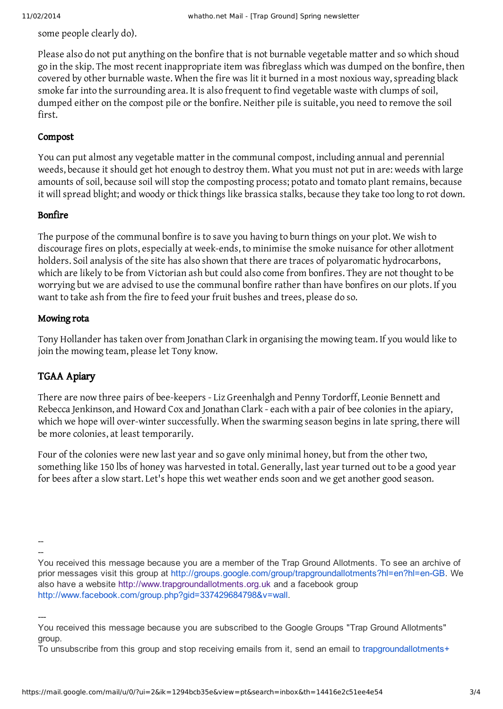some people clearly do).

Please also do not put anything on the bonfire that is not burnable vegetable matter and so which shoud go in the skip. The most recent inappropriate item was fibreglass which was dumped on the bonfire, then covered by other burnable waste. When the fire was lit it burned in a most noxious way, spreading black smoke far into the surrounding area. It is also frequent to find vegetable waste with clumps of soil, dumped either on the compost pile or the bonfire. Neither pile is suitable, you need to remove the soil first.

#### Compost

You can put almost any vegetable matter in the communal compost, including annual and perennial weeds, because it should get hot enough to destroy them. What you must not put in are: weeds with large amounts of soil, because soil will stop the composting process; potato and tomato plant remains, because it will spread blight; and woody or thick things like brassica stalks, because they take too long to rot down.

#### Bonfire

The purpose of the communal bonfire is to save you having to burn things on your plot. We wish to discourage fires on plots, especially at week-ends, to minimise the smoke nuisance for other allotment holders. Soil analysis of the site has also shown that there are traces of polyaromatic hydrocarbons, which are likely to be from Victorian ash but could also come from bonfires. They are not thought to be worrying but we are advised to use the communal bonfire rather than have bonfires on our plots. If you want to take ash from the fire to feed your fruit bushes and trees, please do so.

#### Mowing rota

Tony Hollander has taken over from Jonathan Clark in organising the mowing team. If you would like to join the mowing team, please let Tony know.

# TGAA Apiary

There are now three pairs of bee-keepers - Liz Greenhalgh and Penny Tordorff, Leonie Bennett and Rebecca Jenkinson, and Howard Cox and Jonathan Clark - each with a pair of bee colonies in the apiary, which we hope will over-winter successfully. When the swarming season begins in late spring, there will be more colonies, at least temporarily.

Four of the colonies were new last year and so gave only minimal honey, but from the other two, something like 150 lbs of honey was harvested in total. Generally, last year turned out to be a good year for bees after a slow start. Let's hope this wet weather ends soon and we get another good season.

 $\overline{\phantom{a}}$ --

You received this message because you are a member of the Trap Ground Allotments. To see an archive of prior messages visit this group at [http://groups.google.com/group/trapgroundallotments?hl=en?hl=enGB.](http://groups.google.com/group/trapgroundallotments?hl=en?hl=en-GB) We also have a website [http://www.trapgroundallotments.org.uk](http://www.trapgroundallotments.org.uk/) and a facebook group <http://www.facebook.com/group.php?gid=337429684798&v=wall>.

---

You received this message because you are subscribed to the Google Groups "Trap Ground Allotments" group.

To unsubscribe from this group and stop receiving emails from it, send an email to [trapgroundallotments+](mailto:trapgroundallotments%2Bunsubscribe@googlegroups.com)